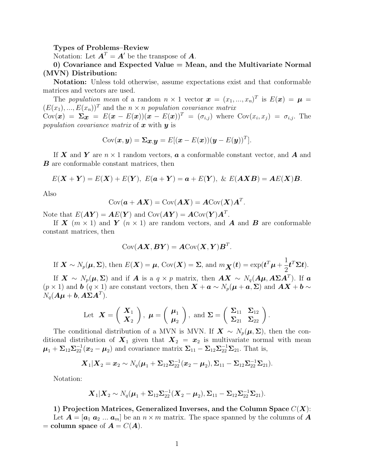#### Types of Problems–Review

Notation: Let  $\mathbf{A}^T = \mathbf{A}^T$  be the transpose of  $\mathbf{A}$ .

## 0) Covariance and Expected Value = Mean, and the Multivariate Normal (MVN) Distribution:

Notation: Unless told otherwise, assume expectations exist and that conformable matrices and vectors are used.

The population mean of a random  $n \times 1$  vector  $\mathbf{x} = (x_1, ..., x_n)^T$  is  $E(\mathbf{x}) = \boldsymbol{\mu} =$  $(E(x_1),..., E(x_n))^T$  and the  $n \times n$  population covariance matrix  $Cov(\boldsymbol{x}) = \boldsymbol{\Sigma} \boldsymbol{x} = E(\boldsymbol{x} - E(\boldsymbol{x})) (\boldsymbol{x} - E(\boldsymbol{x}))^T = (\sigma_{i,j})$  where  $Cov(x_i, x_j) = \sigma_{i,j}$ . The population covariance matrix of  $x$  with  $y$  is

$$
Cov(\boldsymbol{x}, \boldsymbol{y}) = \boldsymbol{\Sigma}_{\boldsymbol{x}, \boldsymbol{y}} = E[(\boldsymbol{x} - E(\boldsymbol{x}))(\boldsymbol{y} - E(\boldsymbol{y}))^T].
$$

If X and Y are  $n \times 1$  random vectors,  $\boldsymbol{a}$  a conformable constant vector, and  $\boldsymbol{A}$  and **B** are conformable constant matrices, then

$$
E(\mathbf{X} + \mathbf{Y}) = E(\mathbf{X}) + E(\mathbf{Y}), \ E(\mathbf{a} + \mathbf{Y}) = \mathbf{a} + E(\mathbf{Y}), \ \& \ E(\mathbf{A}\mathbf{X}\mathbf{B}) = \mathbf{A}E(\mathbf{X})\mathbf{B}.
$$

Also

$$
Cov(\mathbf{a} + \mathbf{A}\mathbf{X}) = Cov(\mathbf{A}\mathbf{X}) = \mathbf{A}Cov(\mathbf{X})\mathbf{A}^T.
$$

Note that  $E(\boldsymbol{A}\boldsymbol{Y}) = \boldsymbol{A}E(\boldsymbol{Y})$  and  $\text{Cov}(\boldsymbol{A}\boldsymbol{Y}) = \boldsymbol{A}\text{Cov}(\boldsymbol{Y})\boldsymbol{A}^T$ .

If X  $(m \times 1)$  and Y  $(n \times 1)$  are random vectors, and A and B are conformable constant matrices, then

$$
Cov(\boldsymbol{A}\boldsymbol{X},\boldsymbol{B}\boldsymbol{Y})=\boldsymbol{A}Cov(\boldsymbol{X},\boldsymbol{Y})\boldsymbol{B}^T.
$$

If 
$$
\mathbf{X} \sim N_p(\boldsymbol{\mu}, \boldsymbol{\Sigma})
$$
, then  $E(\mathbf{X}) = \boldsymbol{\mu}$ ,  $Cov(\mathbf{X}) = \boldsymbol{\Sigma}$ , and  $m_{\mathbf{X}}(\boldsymbol{t}) = exp(\boldsymbol{t}^T \boldsymbol{\mu} + \frac{1}{2} \boldsymbol{t}^T \boldsymbol{\Sigma} \boldsymbol{t})$ .

If  $X \sim N_p(\mu, \Sigma)$  and if A is a  $q \times p$  matrix, then  $AX \sim N_q(A\mu, A\Sigma A^T)$ . If a  $(p \times 1)$  and **b**  $(q \times 1)$  are constant vectors, then  $\mathbf{X} + \mathbf{a} \sim N_p(\mathbf{\mu} + \mathbf{a}, \Sigma)$  and  $\mathbf{A}\mathbf{X} + \mathbf{b} \sim \mathbf{A}$  $N_q(\boldsymbol{A}\boldsymbol{\mu} + \boldsymbol{b}, \boldsymbol{A}\boldsymbol{\Sigma}\boldsymbol{A}^T).$ 

Let 
$$
\mathbf{X} = \begin{pmatrix} \mathbf{X}_1 \\ \mathbf{X}_2 \end{pmatrix}
$$
,  $\boldsymbol{\mu} = \begin{pmatrix} \boldsymbol{\mu}_1 \\ \boldsymbol{\mu}_2 \end{pmatrix}$ , and  $\boldsymbol{\Sigma} = \begin{pmatrix} \Sigma_{11} & \Sigma_{12} \\ \Sigma_{21} & \Sigma_{22} \end{pmatrix}$ .

The conditional distribution of a MVN is MVN. If  $\mathbf{X} \sim N_p(\boldsymbol{\mu}, \boldsymbol{\Sigma})$ , then the conditional distribution of  $X_1$  given that  $X_2 = x_2$  is multivariate normal with mean  $\mu_1 + \Sigma_{12} \Sigma_{22}^{-1} (\boldsymbol{x}_2 - \boldsymbol{\mu}_2)$  and covariance matrix  $\Sigma_{11} - \Sigma_{12} \Sigma_{22}^{-1} \Sigma_{21}$ . That is,

$$
\mathbf{X}_1|\mathbf{X}_2=\mathbf{x}_2\sim N_q(\boldsymbol{\mu}_1+\boldsymbol{\Sigma}_{12}\boldsymbol{\Sigma}_{22}^{-1}(\mathbf{x}_2-\boldsymbol{\mu}_2),\boldsymbol{\Sigma}_{11}-\boldsymbol{\Sigma}_{12}\boldsymbol{\Sigma}_{22}^{-1}\boldsymbol{\Sigma}_{21}).
$$

Notation:

$$
\mathbf{X}_1|\mathbf{X}_2 \sim N_q(\boldsymbol{\mu}_1 + \boldsymbol{\Sigma}_{12}\boldsymbol{\Sigma}_{22}^{-1}(\mathbf{X}_2 - \boldsymbol{\mu}_2), \boldsymbol{\Sigma}_{11} - \boldsymbol{\Sigma}_{12}\boldsymbol{\Sigma}_{22}^{-1}\boldsymbol{\Sigma}_{21}).
$$

1) Projection Matrices, Generalized Inverses, and the Column Space  $C(\boldsymbol{X})$ : Let  $A = [a_1 \ a_2 \ ... \ a_m]$  be an  $n \times m$  matrix. The space spanned by the columns of A = column space of  $A = C(A)$ .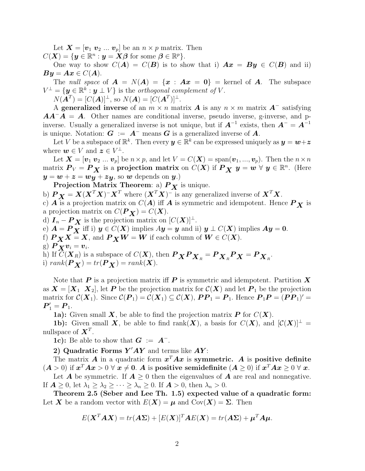Let  $\boldsymbol{X} = [\boldsymbol{v}_1 \ \boldsymbol{v}_2 \ ... \ \boldsymbol{v}_p]$  be an  $n \times p$  matrix. Then

 $C(\boldsymbol{X}) = \{ \boldsymbol{y} \in \mathbb{R}^n : \boldsymbol{y} = \boldsymbol{X}\boldsymbol{\beta} \text{ for some } \boldsymbol{\beta} \in \mathbb{R}^p \}.$ 

One way to show  $C(A) = C(B)$  is to show that i)  $Ax = By \in C(B)$  and ii)  $By = Ax \in C(A).$ 

The *null space* of  $A = N(A) = \{x : Ax = 0\}$  = kernel of A. The subspace  $V^{\perp} = {\{ \boldsymbol{y} \in \mathbb{R}^k : \boldsymbol{y} \perp V \}}$  is the *orthogonal complement of V*.

 $N(\tilde{\bm{A}}^T) = [C(\tilde{\bm{A}})]^{\perp}, \text{ so } N(\bm{A}) = [C(\bm{A}^T)]^{\perp}.$ 

A generalized inverse of an  $m \times n$  matrix **A** is any  $n \times m$  matrix **A**<sup>-</sup> satisfying  $AA^{-}A = A$ . Other names are conditional inverse, pseudo inverse, g-inverse, and pinverse. Usually a generalized inverse is not unique, but if  $A^{-1}$  exists, then  $A^{-} = A^{-1}$ is unique. Notation:  $G := A^-$  means G is a generalized inverse of A.

Let V be a subspace of  $\mathbb{R}^k$ . Then every  $y \in \mathbb{R}^k$  can be expressed uniquely as  $y = w + z$ where  $\mathbf{w} \in V$  and  $\mathbf{z} \in V^{\perp}$ .

Let  $\mathbf{X} = [\mathbf{v}_1 \ \mathbf{v}_2 \ ... \ \mathbf{v}_p]$  be  $n \times p$ , and let  $V = C(\mathbf{X}) = \text{span}(\mathbf{v}_1, ..., \mathbf{v}_p)$ . Then the  $n \times n$ matrix  $P_V = P_X$  is a projection matrix on  $C(X)$  if  $P_X$   $y = w \forall y \in \mathbb{R}^n$ . (Here  $y = w + z = wy + zy$ , so w depends on y.)

Projection Matrix Theorem: a)  $P_X$  is unique.

b)  $P_X = X(X^T X)^{-1} X^T$  where  $(X^T X)^{-1}$  is any generalized inverse of  $X^T X$ .

c)  $\vec{A}$  is a projection matrix on  $C(\vec{A})$  iff  $\vec{A}$  is symmetric and idempotent. Hence  $\vec{P}_X$  is a projection matrix on  $C(P_X) = C(X)$ .

d)  $I_n - P_X$  is the projection matrix on  $[C(X)]^{\perp}$ . e)  $A = P_X$  iff i)  $y \in C(X)$  implies  $Ay = y$  and ii)  $y \perp C(X)$  implies  $Ay = 0$ . f)  $P_X X = X$ , and  $P_X W = W$  if each column of  $W \in C(X)$ . g)  $P_X v_i = v_i$ . h) If  $C(\mathbf{X}_R)$  is a subspace of  $C(\mathbf{X})$ , then  $\mathbf{P}_{\mathbf{X}} \mathbf{P}_{\mathbf{X}_R} = \mathbf{P}_{\mathbf{X}_R} \mathbf{P}_{\mathbf{X}} = \mathbf{P}_{\mathbf{X}_R}$ . i)  $rank(\boldsymbol{P}_{\boldsymbol{X}}) = tr(\boldsymbol{P}_{\boldsymbol{X}}) = rank(\boldsymbol{X}).$ 

Note that  $P$  is a projection matrix iff  $P$  is symmetric and idempotent. Partition  $X$ as  $X = [X_1 \ X_2]$ , let P be the projection matrix for  $\mathcal{C}(X)$  and let  $P_1$  be the projection matrix for  $\mathcal{C}(\boldsymbol{X}_1)$ . Since  $\mathcal{C}(\boldsymbol{P}_1) = \mathcal{C}(\boldsymbol{X}_1) \subseteq \mathcal{C}(\boldsymbol{X})$ ,  $\boldsymbol{P}\boldsymbol{P}_1 = \boldsymbol{P}_1$ . Hence  $\boldsymbol{P}_1\boldsymbol{P} = (\boldsymbol{P}\boldsymbol{P}_1)' =$  $P'_{1} = P_{1}.$ 

**1a):** Given small **X**, be able to find the projection matrix **P** for  $C(X)$ .

**1b):** Given small **X**, be able to find rank(**X**), a basis for  $C(X)$ , and  $[C(X)]^{\perp} =$ nullspace of  $X^T$ .

**1c):** Be able to show that  $G := A^{-}$ .

2) Quadratic Forms  $Y'AY$  and terms like  $AY$ :

The matrix A in a quadratic form  $x^T A x$  is symmetric. A is positive definite  $(A > 0)$  if  $x^T A x > 0 \forall x \neq 0$ . A is positive semidefinite  $(A \ge 0)$  if  $x^T A x \ge 0 \forall x$ .

Let **A** be symmetric. If  $A \geq 0$  then the eigenvalues of **A** are real and nonnegative. If  $\mathbf{A} \geq 0$ , let  $\lambda_1 \geq \lambda_2 \geq \cdots \geq \lambda_n \geq 0$ . If  $\mathbf{A} > 0$ , then  $\lambda_n > 0$ .

Theorem 2.5 (Seber and Lee Th. 1.5) expected value of a quadratic form: Let X be a random vector with  $E(X) = \mu$  and  $Cov(X) = \Sigma$ . Then

$$
E(\mathbf{X}^T \mathbf{A} \mathbf{X}) = tr(\mathbf{A} \Sigma) + [E(\mathbf{X})]^T \mathbf{A} E(\mathbf{X}) = tr(\mathbf{A} \Sigma) + \boldsymbol{\mu}^T \mathbf{A} \boldsymbol{\mu}.
$$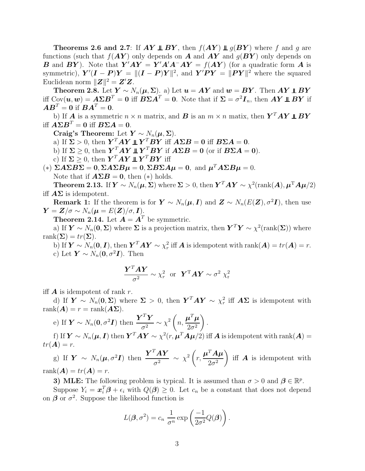**Theorems 2.6 and 2.7:** If  $AY \perp \!\!\!\perp BY$ , then  $f(AY) \perp\!\!\!\perp g(BY)$  where f and g are functions (such that  $f(AY)$  only depends on A and  $AY$  and  $g(BY)$  only depends on **B** and **BY**). Note that  $\mathbf{Y}'\mathbf{A}\mathbf{Y} = \mathbf{Y}'\mathbf{A}'\mathbf{A}^{-}\mathbf{A}\mathbf{Y} = f(\mathbf{A}\mathbf{Y})$  (for a quadratic form **A** is symmetric),  $\mathbf{Y}'(\mathbf{I} - \mathbf{P})\mathbf{Y} = ||(\mathbf{I} - \mathbf{P})\mathbf{Y}||^2$ , and  $\mathbf{Y}'\mathbf{P}\mathbf{Y} = ||\mathbf{P}\mathbf{Y}||^2$  where the squared Euclidean norm  $||Z||^2 = Z'Z$ .

Theorem 2.8. Let  $Y \sim N_n(\mu, \Sigma)$ . a) Let  $u = AY$  and  $w = BY$ . Then  $AY \perp BY$ iff Cov $(\bm u,\bm w)=\bm A\bm\Sigma\bm B^T=\bm 0$  iff  $\bm B\bm\Sigma\bm A^T=\bm 0.$  Note that if  $\bm\Sigma=\sigma^2\bm I_n,$  then  $\bm A\bm Y\bm\perp\bm B\bm Y$  if  $\boldsymbol{A}\boldsymbol{B}^T=\boldsymbol{0}$  if  $\boldsymbol{B}\boldsymbol{A}^T=\boldsymbol{0}$ .

b) If **A** is a symmetric  $n \times n$  matrix, and **B** is an  $m \times n$  matix, then  $\boldsymbol{Y}^T \boldsymbol{A} \boldsymbol{Y} \perp \boldsymbol{B} \boldsymbol{Y}$ iff  $\boldsymbol{A}\boldsymbol{\Sigma}\boldsymbol{B}^T=\boldsymbol{0}$  iff  $\boldsymbol{B}\boldsymbol{\Sigma}\boldsymbol{A}=\boldsymbol{0}$ .

Craig's Theorem: Let  $Y \sim N_n(\mu, \Sigma)$ .

a) If  $\Sigma > 0$ , then  $\boldsymbol{Y}^T A \boldsymbol{Y} \perp \boldsymbol{Y}^T B \boldsymbol{Y}$  iff  $A \Sigma B = 0$  iff  $B \Sigma A = 0$ .

b) If  $\Sigma \geq 0$ , then  $\mathbf{Y}^T A \mathbf{Y} \perp \mathbf{Y}^T B \mathbf{Y}$  if  $A \Sigma B = 0$  (or if  $B \Sigma A = 0$ ).

c) If  $\Sigma \geq 0$ , then  $\boldsymbol{Y}^T \boldsymbol{A} \boldsymbol{Y} \perp \boldsymbol{Y}^T \boldsymbol{B} \boldsymbol{Y}$  iff

(\*)  $\Sigma A \Sigma B \Sigma = 0$ ,  $\Sigma A \Sigma B \mu = 0$ ,  $\Sigma B \Sigma A \mu = 0$ , and  $\mu^T A \Sigma B \mu = 0$ . Note that if  $\mathbf{A}\Sigma\mathbf{B} = \mathbf{0}$ , then  $(*)$  holds.

**Theorem 2.13.** If  $\mathbf{Y} \sim N_n(\boldsymbol{\mu}, \boldsymbol{\Sigma})$  where  $\boldsymbol{\Sigma} > 0$ , then  $\mathbf{Y}^T A \mathbf{Y} \sim \chi^2(\text{rank}(A), \boldsymbol{\mu}^T A \boldsymbol{\mu}/2)$ iff  $\mathbf{A}\Sigma$  is idempotent.

**Remark 1:** If the theorem is for  $Y \sim N_n(\mu, I)$  and  $Z \sim N_n(E(Z), \sigma^2 I)$ , then use  $\mathbf{Y} = \mathbf{Z}/\sigma \sim N_n(\boldsymbol{\mu} = E(\mathbf{Z})/\sigma, \mathbf{I}).$ 

**Theorem 2.14.** Let  $A = A^T$  be symmetric.

a) If  $\mathbf{Y} \sim N_n(\mathbf{0}, \Sigma)$  where  $\Sigma$  is a projection matrix, then  $\mathbf{Y}^T \mathbf{Y} \sim \chi^2(\text{rank}(\Sigma))$  where rank $(\Sigma) = tr(\Sigma)$ .

b) If  $\mathbf{Y} \sim N_n(\mathbf{0}, \mathbf{I})$ , then  $\mathbf{Y}^T A \mathbf{Y} \sim \chi_r^2$  iff  $\mathbf{A}$  is idempotent with rank $(\mathbf{A}) = tr(\mathbf{A}) = r$ . c) Let  $\mathbf{Y} \sim N_n(\mathbf{0}, \sigma^2 \mathbf{I})$ . Then

$$
\frac{\boldsymbol{Y}^T \boldsymbol{A} \boldsymbol{Y}}{\sigma^2} \sim \chi_r^2 \text{ or } \boldsymbol{Y}^T \boldsymbol{A} \boldsymbol{Y} \sim \sigma^2 \chi_r^2
$$

iff  $\boldsymbol{A}$  is idempotent of rank r.

d) If  $\mathbf{Y} \sim N_n(\mathbf{0}, \Sigma)$  where  $\Sigma > 0$ , then  $\mathbf{Y}^T A \mathbf{Y} \sim \chi^2_r$  iff  $A\Sigma$  is idempotent with  $rank(\mathbf{A}) = r = rank(\mathbf{A}\Sigma).$ 

.

e) If 
$$
\mathbf{Y} \sim N_n(\mathbf{0}, \sigma^2 \mathbf{I})
$$
 then  $\frac{\mathbf{Y}^T \mathbf{Y}}{\sigma^2} \sim \chi^2 \left(n, \frac{\boldsymbol{\mu}^T \boldsymbol{\mu}}{2\sigma^2}\right)$   
So  $\mathbf{X} \sim N_n(\mathbf{0}, \mathbf{I})$  the  $\mathbf{Y}^T \mathbf{A} \mathbf{Y} = \frac{2}{\sigma^2} \left(\frac{T \mathbf{A} - \mu}{2\sigma^2}\right)$ 

f) If  $\bm{Y}\sim N_n(\bm{\mu},\bm{I})$  then  $\bm{Y}^T\bm{A}\bm{Y}\sim\chi^2(r,\bm{\mu}^T\bm{A}\bm{\mu}/2)$  iff  $\bm{A}$  is idempotent with  $\mathrm{rank}(\bm{A})=$  $tr(\mathbf{A}) = r$ .

g) If  $\boldsymbol{Y} \sim N_n(\boldsymbol{\mu}, \sigma^2 \boldsymbol{I})$  then  $\frac{\boldsymbol{Y}^T \boldsymbol{A} \boldsymbol{Y}}{\sigma^2}$  $\frac{d^{2}A\boldsymbol{Y}}{\sigma^{2}}\sim\chi^{2}\bigg(\boldsymbol{\beta}% _{0}\boldsymbol{\beta}\boldsymbol{\gamma}_{0}\boldsymbol{\gamma}_{0}\boldsymbol{\gamma}_{0}\boldsymbol{\gamma}_{0}\boldsymbol{\gamma}_{0}\boldsymbol{\gamma}_{0}\boldsymbol{\gamma}_{0}\boldsymbol{\gamma}_{0}\boldsymbol{\gamma}_{0}\boldsymbol{\gamma}_{0}\boldsymbol{\gamma}_{0}\boldsymbol{\gamma}_{0}\boldsymbol{\gamma}_{0}\boldsymbol{\gamma}_{0}\boldsymbol{\gamma}_{0}\boldsymbol{\gamma}_{0}\boldsymbol{\gamma}_{0}\boldsymbol{\gamma}_{0}\boldsymbol{\gamma}_{0}\boldsymbol{\gamma}_{0}\boldsymbol{\gamma}_{0}\boldsymbol{\gamma}_{0}\boldsymbol{\gamma}_{0}\boldsymbol{\gamma}_{0}\boldsymbol{\gamma}_{0}\boldsymbol$ r,  $\boldsymbol{\mu}^T\boldsymbol{A}\boldsymbol{\mu}$  $2\sigma^2$ iff  $\boldsymbol{A}$  is idempotent with rank $(A) = tr(A) = r$ .

3) MLE: The following problem is typical. It is assumed than  $\sigma > 0$  and  $\beta \in \mathbb{R}^p$ .

Suppose  $Y_i = \boldsymbol{x}_i^T \boldsymbol{\beta} + \epsilon_i$  with  $Q(\boldsymbol{\beta}) \geq 0$ . Let  $c_n$  be a constant that does not depend on  $\beta$  or  $\sigma^2$ . Suppose the likelihood function is

$$
L(\boldsymbol{\beta}, \sigma^2) = c_n \frac{1}{\sigma^n} \exp \left( \frac{-1}{2\sigma^2} Q(\boldsymbol{\beta}) \right).
$$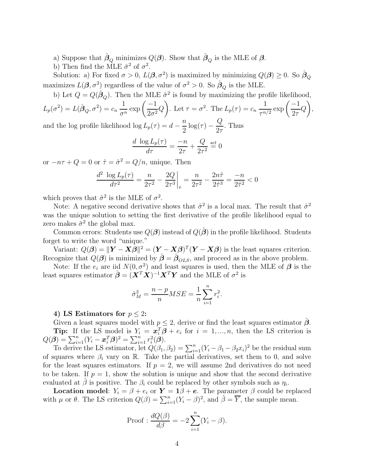a) Suppose that  $\hat{\beta}_Q$  minimizes  $Q(\boldsymbol{\beta})$ . Show that  $\hat{\beta}_Q$  is the MLE of  $\boldsymbol{\beta}$ .

b) Then find the MLE  $\hat{\sigma}^2$  of  $\sigma^2$ .

Solution: a) For fixed  $\sigma > 0$ ,  $L(\beta, \sigma^2)$  is maximized by minimizing  $Q(\beta) \geq 0$ . So  $\hat{\beta}_Q$ maximizes  $L(\beta, \sigma^2)$  regardless of the value of  $\sigma^2 > 0$ . So  $\hat{\beta}_Q$  is the MLE.

b) Let  $Q = Q(\hat{\beta}_Q)$ . Then the MLE  $\hat{\sigma}^2$  is found by maximizing the profile likelihood,

$$
L_p(\sigma^2) = L(\hat{\boldsymbol{\beta}}_Q, \sigma^2) = c_n \frac{1}{\sigma^n} \exp\left(\frac{-1}{2\sigma^2} Q\right).
$$
 Let  $\tau = \sigma^2$ . The  $L_p(\tau) = c_n \frac{1}{\tau^{n/2}} \exp\left(\frac{-1}{2\tau} Q\right)$ ,  
and the log profile likelihood log  $L_p(\tau) = d - \frac{n}{p} \log(\tau) - \frac{Q}{2}$ . Thus

and the log profile likelihood  $\log L_p(\tau) = d - \frac{n}{2}$  $\frac{n}{2}\log(\tau)-\frac{Q}{2\tau}$  $2\tau$ . Thus

$$
\frac{d \log L_p(\tau)}{d\tau} = \frac{-n}{2\tau} + \frac{Q}{2\tau^2} \stackrel{set}{=} 0
$$

or  $-n\tau + Q = 0$  or  $\hat{\tau} = \hat{\sigma}^2 = Q/n$ , unique. Then

$$
\frac{d^2 \log L_p(\tau)}{d\tau^2} = \frac{n}{2\tau^2} - \frac{2Q}{2\tau^3} \bigg|_{\hat{\tau}} = \frac{n}{2\tau^2} - \frac{2n\hat{\tau}}{2\hat{\tau}^3} = \frac{-n}{2\hat{\tau}^2} < 0
$$

which proves that  $\hat{\sigma}^2$  is the MLE of  $\sigma^2$ .

Note: A negative second derivative shows that  $\hat{\sigma}^2$  is a local max. The result that  $\hat{\sigma}^2$ was the unique solution to setting the first derivative of the profile likelihood equal to zero makes  $\hat{\sigma}^2$  the global max.

Common errors: Students use  $Q(\boldsymbol{\beta})$  instead of  $Q(\hat{\boldsymbol{\beta}})$  in the profile likelihood. Students forget to write the word "unique."

Variant:  $Q(\boldsymbol{\beta}) = ||\boldsymbol{Y} - \boldsymbol{X}\boldsymbol{\beta}||^2 = (\boldsymbol{Y} - \boldsymbol{X}\boldsymbol{\beta})^T(\boldsymbol{Y} - \boldsymbol{X}\boldsymbol{\beta})$  is the least squares criterion. Recognize that  $Q(\boldsymbol{\beta})$  is minimized by  $\hat{\boldsymbol{\beta}} = \hat{\boldsymbol{\beta}}_{OLS}$ , and proceed as in the above problem.

Note: If the  $e_i$  are iid  $N(0, \sigma^2)$  and least squares is used, then the MLE of  $\beta$  is the least squares estimator  $\hat{\boldsymbol{\beta}} = (\boldsymbol{X}^T \boldsymbol{X})^{-1} \boldsymbol{X}^T \boldsymbol{Y}$  and the MLE of  $\sigma^2$  is

$$
\hat{\sigma}_M^2 = \frac{n - p}{n} MSE = \frac{1}{n} \sum_{i=1}^n r_i^2.
$$

### 4) LS Estimators for  $p < 2$ :

Given a least squares model with  $p \leq 2$ , derive or find the least squares estimator  $\hat{\beta}$ . **Tip:** If the LS model is  $Y_i = x_i^T \boldsymbol{\beta} + e_i$  for  $i = 1, ..., n$ , then the LS criterion is  $Q(\boldsymbol{\beta}) = \sum_{i=1}^{n} (Y_i - \boldsymbol{x}_i^T \boldsymbol{\beta})^2 = \sum_{i=1}^{n} r_i^2(\boldsymbol{\beta}).$ 

To derive the LS estimator, let  $Q(\beta_1, \beta_2) = \sum_{i=1}^n (Y_i - \beta_1 - \beta_2 x_i)^2$  be the residual sum of squares where  $\beta_i$  vary on R. Take the partial derivatives, set them to 0, and solve for the least squares estimators. If  $p = 2$ , we will assume 2nd derivatives do not need to be taken. If  $p = 1$ , show the solution is unique and show that the second derivative evaluated at  $\hat{\beta}$  is positive. The  $\beta_i$  could be replaced by other symbols such as  $\eta_i$ .

**Location model:**  $Y_i = \beta + e_i$  or  $Y = 1\beta + e$ . The parameter  $\beta$  could be replaced with  $\mu$  or  $\theta$ . The LS criterion  $Q(\beta) = \sum_{i=1}^{n} (Y_i - \beta)^2$ , and  $\hat{\beta} = \overline{Y}$ , the sample mean.

Proof: 
$$
\frac{dQ(\beta)}{d\beta} = -2 \sum_{i=1}^{n} (Y_i - \beta).
$$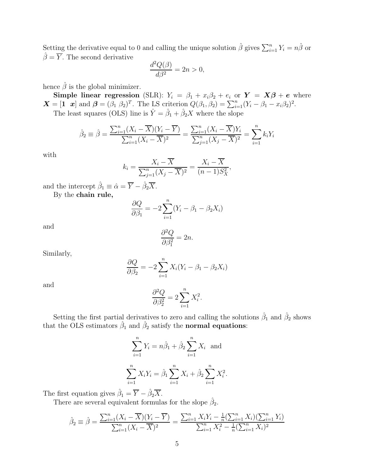Setting the derivative equal to 0 and calling the unique solution  $\hat{\beta}$  gives  $\sum_{i=1}^{n} Y_i = n\hat{\beta}$  or  $\hat{\beta} = \overline{Y}$ . The second derivative

$$
\frac{d^2Q(\beta)}{d\beta^2} = 2n > 0,
$$

hence  $\hat{\beta}$  is the global minimizer.

Simple linear regression (SLR):  $Y_i = \beta_1 + x_i \beta_2 + e_i$  or  $Y = X\beta + e$  where  $\mathbf{X} = \begin{bmatrix} 1 & \mathbf{x} \end{bmatrix}$  and  $\boldsymbol{\beta} = (\beta_1 \ \beta_2)^T$ . The LS criterion  $Q(\beta_1, \beta_2) = \sum_{i=1}^n (Y_i - \beta_1 - x_i \beta_2)^2$ .

The least squares (OLS) line is  $\hat{Y} = \hat{\beta}_1 + \hat{\beta}_2 X$  where the slope

$$
\hat{\beta}_2 \equiv \hat{\beta} = \frac{\sum_{i=1}^n (X_i - \overline{X})(Y_i - \overline{Y})}{\sum_{i=1}^n (X_i - \overline{X})^2} = \frac{\sum_{i=1}^n (X_i - \overline{X})Y_i}{\sum_{j=1}^n (X_j - \overline{X})^2} = \sum_{i=1}^n k_i Y_i
$$

with

$$
k_i = \frac{X_i - \overline{X}}{\sum_{j=1}^n (X_j - \overline{X})^2} = \frac{X_i - \overline{X}}{(n-1)S_X^2},
$$

and the intercept  $\hat{\beta}_1 \equiv \hat{\alpha} = \overline{Y} - \hat{\beta}_2 \overline{X}$ .

By the chain rule,

$$
\frac{\partial Q}{\partial \beta_1} = -2 \sum_{i=1}^n (Y_i - \beta_1 - \beta_2 X_i)
$$

and

$$
\frac{\partial^2 Q}{\partial \beta_1^2} = 2n.
$$

Similarly,

$$
\frac{\partial Q}{\partial \beta_2} = -2 \sum_{i=1}^n X_i (Y_i - \beta_1 - \beta_2 X_i)
$$

and

$$
\frac{\partial^2 Q}{\partial \beta_2^2} = 2 \sum_{i=1}^n X_i^2.
$$

Setting the first partial derivatives to zero and calling the solutions  $\hat{\beta}_1$  and  $\hat{\beta}_2$  shows that the OLS estimators  $\hat{\beta}_1$  and  $\hat{\beta}_2$  satisfy the **normal equations**:

$$
\sum_{i=1}^{n} Y_i = n\hat{\beta}_1 + \hat{\beta}_2 \sum_{i=1}^{n} X_i \text{ and}
$$

$$
\sum_{i=1}^{n} X_i Y_i = \hat{\beta}_1 \sum_{i=1}^{n} X_i + \hat{\beta}_2 \sum_{i=1}^{n} X_i^2.
$$

The first equation gives  $\hat{\beta}_1 = \overline{Y} - \hat{\beta}_2 \overline{X}$ .

There are several equivalent formulas for the slope  $\hat{\beta}_2$ .

$$
\hat{\beta}_2 \equiv \hat{\beta} = \frac{\sum_{i=1}^n (X_i - \overline{X})(Y_i - \overline{Y})}{\sum_{i=1}^n (X_i - \overline{X})^2} = \frac{\sum_{i=1}^n X_i Y_i - \frac{1}{n} (\sum_{i=1}^n X_i)(\sum_{i=1}^n Y_i)}{\sum_{i=1}^n X_i^2 - \frac{1}{n} (\sum_{i=1}^n X_i)^2}
$$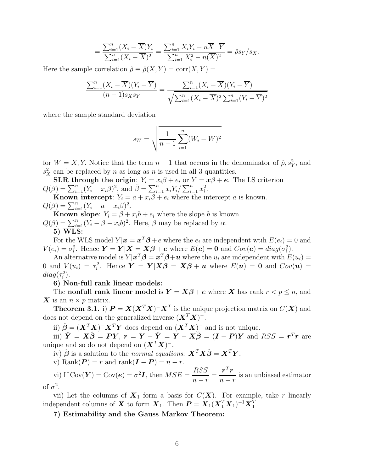$$
= \frac{\sum_{i=1}^{n} (X_i - \overline{X})Y_i}{\sum_{i=1}^{n} (X_i - \overline{X})^2} = \frac{\sum_{i=1}^{n} X_i Y_i - n\overline{X} \ \overline{Y}}{\sum_{i=1}^{n} X_i^2 - n(\overline{X})^2} = \hat{\rho} s_Y / s_X.
$$

Here the sample correlation  $\hat{\rho} \equiv \hat{\rho}(X, Y) = \text{corr}(X, Y) =$ 

$$
\frac{\sum_{i=1}^{n}(X_i - \overline{X})(Y_i - \overline{Y})}{(n-1)s_X s_Y} = \frac{\sum_{i=1}^{n}(X_i - \overline{X})(Y_i - \overline{Y})}{\sqrt{\sum_{i=1}^{n}(X_i - \overline{X})^2 \sum_{i=1}^{n}(Y_i - \overline{Y})^2}}
$$

where the sample standard deviation

$$
s_W = \sqrt{\frac{1}{n-1} \sum_{i=1}^{n} (W_i - \overline{W})^2}
$$

for  $W = X, Y$ . Notice that the term  $n-1$  that occurs in the denominator of  $\hat{\rho}, s_Y^2$ , and  $s_X^2$  can be replaced by n as long as n is used in all 3 quantities.

**SLR** through the origin:  $Y_i = x_i\beta + e_i$  or  $Y = x\beta + e$ . The LS criterion  $Q(\beta) = \sum_{i=1}^{n} (Y_i - x_i \beta)^2$ , and  $\hat{\beta} = \sum_{i=1}^{n} x_i Y_i / \sum_{i=1}^{n} x_i^2$ .

**Known intercept**:  $Y_i = a + x_i \beta + e_i$  where the intercept a is known.  $Q(\beta) = \sum_{i=1}^{n} (Y_i - a - x_i \beta)^2.$ 

**Known slope:**  $Y_i = \beta + x_i b + e_i$  where the slope b is known.  $Q(\beta) = \sum_{i=1}^{n} (Y_i - \beta - x_i b)^2$ . Here,  $\beta$  may be replaced by  $\alpha$ . 5) WLS:

For the WLS model  $Y | x = x^T \beta + e$  where the  $e_i$  are independent wtih  $E(e_i) = 0$  and  $V(e_i) = \sigma_i^2$ . Hence  $\mathbf{Y} = \mathbf{Y} | \mathbf{X} = \mathbf{X} \boldsymbol{\beta} + \mathbf{e}$  where  $E(\mathbf{e}) = \mathbf{0}$  and  $Cov(\mathbf{e}) = diag(\sigma_i^2)$ .

An alternative model is  $Y | x^T \beta = x^T \beta + u$  where the  $u_i$  are independent with  $E(u_i) =$ 0 and  $V(u_i) = \tau_i^2$ . Hence  $\mathbf{Y} = \mathbf{Y} | \mathbf{X}\boldsymbol{\beta} = \mathbf{X}\boldsymbol{\beta} + \boldsymbol{u}$  where  $E(\boldsymbol{u}) = \mathbf{0}$  and  $Cov(\boldsymbol{u}) =$  $diag(\tau_i^2)$ .

6) Non-full rank linear models:

The **nonfull rank linear model** is  $Y = X\beta + e$  where X has rank  $r < p \le n$ , and  $\boldsymbol{X}$  is an  $n \times p$  matrix.

**Theorem 3.1.** i)  $P = X(X^T X)^{-} X^T$  is the unique projection matrix on  $C(X)$  and does not depend on the generalized inverse  $(\boldsymbol{X}^T \boldsymbol{X})^{-1}$ .

ii)  $\hat{\boldsymbol{\beta}} = (\boldsymbol{X}^T \boldsymbol{X})^- \boldsymbol{X}^T \boldsymbol{Y}$  does depend on  $(\boldsymbol{X}^T \boldsymbol{X})^-$  and is not unique.

iii)  $\hat{\boldsymbol{Y}} = \boldsymbol{X}\hat{\boldsymbol{\beta}} = \boldsymbol{P}\boldsymbol{Y}, \ \boldsymbol{r} = \boldsymbol{Y} - \hat{\boldsymbol{Y}} = \hat{\boldsymbol{Y}} - \boldsymbol{X}\hat{\boldsymbol{\beta}} = (\boldsymbol{I} - \boldsymbol{P})\boldsymbol{Y} \ \text{and} \ RSS = \boldsymbol{r}^T\boldsymbol{r} \ \text{are}$ unique and so do not depend on  $(\boldsymbol{X}^T\boldsymbol{X})^-$ .

iv)  $\hat{\boldsymbol{\beta}}$  is a solution to the normal equations:  $\mathbf{X}^T \mathbf{X} \hat{\boldsymbol{\beta}} = \mathbf{X}^T \mathbf{Y}$ .

v) Rank $(P) = r$  and rank $(I - P) = n - r$ .

vi) If  $\text{Cov}(\boldsymbol{Y}) = \text{Cov}(\boldsymbol{e}) = \sigma^2 \boldsymbol{I}, \text{ then } MSE = \frac{RSSS}{T}$  $n - r$ =  $\bm{r}^T\bm{r}$  $n - r$ is an unbiased estimator of  $\sigma^2$ .

vii) Let the columns of  $X_1$  form a basis for  $C(X)$ . For example, take r linearly independent columns of  $\boldsymbol{X}$  to form  $\boldsymbol{X}_1$ . Then  $\boldsymbol{P} = \boldsymbol{X}_1(\boldsymbol{X}_1^T\boldsymbol{X}_1)^{-1}\boldsymbol{X}_1^T$ .

7) Estimability and the Gauss Markov Theorem: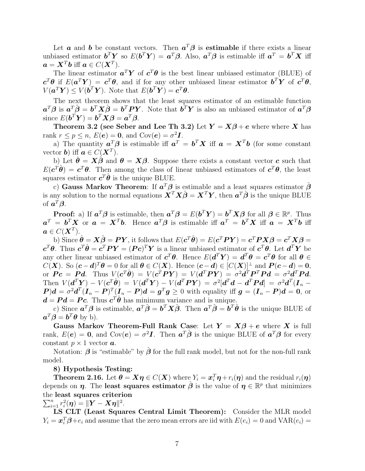Let **a** and **b** be constant vectors. Then  $a^T \beta$  is estimable if there exists a linear unbiased estimator  $\boldsymbol{b}^T \boldsymbol{Y}$  so  $E(\boldsymbol{b}^T \boldsymbol{Y}) = \boldsymbol{a}^T \boldsymbol{\beta}$ . Also,  $\boldsymbol{a}^T \boldsymbol{\beta}$  is estimable iff  $\boldsymbol{a}^T = \boldsymbol{b}^T \boldsymbol{X}$  iff  $a = X^T b$  iff  $a \in C(X^T)$ .

The linear estimator  $a^T Y$  of  $c^T \theta$  is the best linear unbiased estimator (BLUE) of  $\mathbf{c}^T\theta$  if  $E(\mathbf{a}^T\boldsymbol{Y}) = \mathbf{c}^T\theta$ , and if for any other unbiased linear estimator  $\mathbf{b}^T\boldsymbol{Y}$  of  $\mathbf{c}^T\theta$ ,  $V(\boldsymbol{a}^T\boldsymbol{Y}) \leq V(\boldsymbol{b}^T\boldsymbol{Y}).$  Note that  $E(\boldsymbol{b}^T\boldsymbol{Y}) = \boldsymbol{c}^T\boldsymbol{\theta}.$ 

The next theorem shows that the least squares estimator of an estimable function  $a^T\beta$  is  $a^T\hat{\beta} = b^T X \hat{\beta} = b^T P Y$ . Note that  $b^T Y$  is also an unbiased estimator of  $a^T\beta$ since  $E(\boldsymbol{b}^T \boldsymbol{Y}) = \boldsymbol{b}^T \boldsymbol{X} \boldsymbol{\beta} = \boldsymbol{a}^T \boldsymbol{\beta}.$ 

Theorem 3.2 (see Seber and Lee Th 3.2) Let  $Y = X\beta + e$  where where X has rank  $r \leq p \leq n$ ,  $E(e) = 0$ , and  $Cov(e) = \sigma^2 I$ .

a) The quantity  $a^T \beta$  is estimable iff  $a^T = b^T X$  iff  $a = X^T b$  (for some constant vector **b**) iff  $a \in C(X^T)$ .

b) Let  $\hat{\theta} = X\hat{\beta}$  and  $\theta = X\beta$ . Suppose there exists a constant vector c such that  $E(c^{T}\hat{\theta}) = c^{T}\theta$ . Then among the class of linear unbiased estimators of  $c^{T}\theta$ , the least squares estimator  $c^T \hat{\boldsymbol{\theta}}$  is the unique BLUE.

c) Gauss Markov Theorem: If  $a^T\beta$  is estimable and a least squares estimator  $\hat{\beta}$ is any solution to the normal equations  $\mathbf{X}^T \mathbf{X} \hat{\boldsymbol{\beta}} = \mathbf{X}^T \mathbf{Y}$ , then  $\boldsymbol{a}^T \hat{\boldsymbol{\beta}}$  is the unique BLUE of  $\boldsymbol{a}^T\boldsymbol{\beta}$ .

**Proof:** a) If  $a^T \beta$  is estimable, then  $a^T \beta = E(b^T Y) = b^T X \beta$  for all  $\beta \in \mathbb{R}^p$ . Thus  $a^T = b^T X$  or  $a = X^T b$ . Hence  $a^T \beta$  is estimable iff  $a^T = b^T X$  iff  $a = X^T b$  iff  $a\in C(\boldsymbol{X}^T).$ 

b) Since  $\hat{\boldsymbol{\theta}} = \boldsymbol{X}\hat{\boldsymbol{\beta}} = \boldsymbol{P}\boldsymbol{Y},$  it follows that  $E(\boldsymbol{c}^T\hat{\boldsymbol{\theta}}) = E(\boldsymbol{c}^T\boldsymbol{P}\boldsymbol{Y}) = \boldsymbol{c}^T\boldsymbol{P}\boldsymbol{X}\boldsymbol{\beta} = \boldsymbol{c}^T\boldsymbol{X}\boldsymbol{\beta} =$  $c^T\theta$ . Thus  $c^T\hat{\theta} = c^T P Y = (P c)^T Y$  is a linear unbiased estimator of  $c^T\theta$ . Let  $d^T Y$  be any other linear unbiased estimator of  $c^T \theta$ . Hence  $E(d^T Y) = d^T \theta = c^T \theta$  for all  $\theta \in$  $C(\mathbf{X})$ . So  $(c - d)^T \theta = 0$  for all  $\theta \in C(\mathbf{X})$ . Hence  $(c - d) \in [C(\mathbf{X})]^{\perp}$  and  $P(c - d) = 0$ , or  $\boldsymbol{P} \boldsymbol{c} = \boldsymbol{P} \boldsymbol{d}$ . Thus  $V(\boldsymbol{c}^T \boldsymbol{\hat{\theta}}) = V(\boldsymbol{c}^T \boldsymbol{P} \boldsymbol{Y}) = V(\boldsymbol{d}^T \boldsymbol{P} \boldsymbol{Y}) = \sigma^2 \boldsymbol{d}^T \boldsymbol{P}^T \boldsymbol{P} \boldsymbol{d} = \sigma^2 \boldsymbol{d}^T \boldsymbol{P} \boldsymbol{d}$ . Then  $V(d^T Y) - V(c^T \hat{\theta}) = V(d^T Y) - V(d^T P Y) = \sigma^2 [d^T d - d^T P d] = \sigma^2 d^T (I_n \mathbf{P}[\mathbf{P}]d = \sigma^2 \mathbf{d}^T (\mathbf{I}_n - \mathbf{P})^T (\mathbf{I}_n - \mathbf{P}) \mathbf{d} = \mathbf{g}^T \mathbf{g} \ge 0$  with equality iff  $\mathbf{g} = (\mathbf{I}_n - \mathbf{P})\mathbf{d} = \mathbf{0}$ , or  $d = P d = P c$ . Thus  $c^T \hat{\theta}$  has minimum variance and is unique.

c) Since  $a^T \beta$  is estimable,  $a^T \hat{\beta} = b^T X \hat{\beta}$ . Then  $a^T \hat{\beta} = b^T \hat{\theta}$  is the unique BLUE of  $a^T \beta = b^T \theta$  by b).

Gauss Markov Theorem-Full Rank Case: Let  $Y = X\beta + e$  where X is full rank,  $E(e) = 0$ , and  $Cov(e) = \sigma^2 I$ . Then  $a^T \hat{\beta}$  is the unique BLUE of  $a^T \beta$  for every constant  $p \times 1$  vector  $a$ .

Notation:  $\beta$  is "estimable" by  $\beta$  for the full rank model, but not for the non-full rank model.

#### 8) Hypothesis Testing:

**Theorem 2.16.** Let  $\boldsymbol{\theta} = \boldsymbol{X} \boldsymbol{\eta} \in C(\boldsymbol{X})$  where  $Y_i = \boldsymbol{x}_i^T \boldsymbol{\eta} + r_i(\boldsymbol{\eta})$  and the residual  $r_i(\boldsymbol{\eta})$ depends on  $\eta$ . The least squares estimator  $\hat{\beta}$  is the value of  $\eta \in \mathbb{R}^p$  that minimizes the least squares criterion

# $\sum_{i=1}^n r_i^2(\eta) = \|\mathbf{Y} - \mathbf{X}\eta\|^2.$

LS CLT (Least Squares Central Limit Theorem): Consider the MLR model  $Y_i = \boldsymbol{x}_i^T \boldsymbol{\beta} + e_i$  and assume that the zero mean errors are iid with  $E(e_i) = 0$  and  $\text{VAR}(e_i) = 0$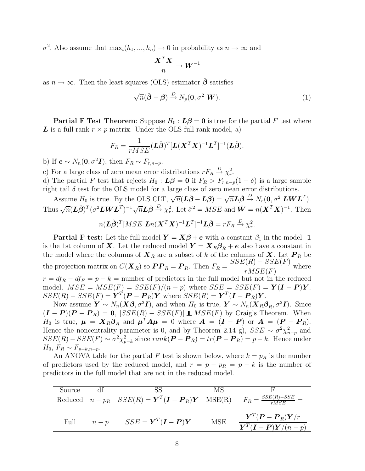$\sigma^2$ . Also assume that  $\max_i(h_1, ..., h_n) \to 0$  in probability as  $n \to \infty$  and

$$
\frac{\bm{X}^T\bm{X}}{n}\rightarrow \bm{W}^{-1}
$$

as  $n \to \infty$ . Then the least squares (OLS) estimator  $\hat{\beta}$  satisfies

$$
\sqrt{n}(\hat{\boldsymbol{\beta}} - \boldsymbol{\beta}) \stackrel{D}{\to} N_p(\mathbf{0}, \sigma^2 \ \boldsymbol{W}). \tag{1}
$$

**Partial F Test Theorem:** Suppose  $H_0$ :  $L\beta = 0$  is true for the partial F test where L is a full rank  $r \times p$  matrix. Under the OLS full rank model, a)

$$
F_R = \frac{1}{rMSE} (\mathbf{L}\hat{\boldsymbol{\beta}})^T [\mathbf{L}(\mathbf{X}^T \mathbf{X})^{-1} \mathbf{L}^T]^{-1} (\mathbf{L}\hat{\boldsymbol{\beta}}).
$$

b) If  $e \sim N_n(0, \sigma^2 I)$ , then  $F_R \sim F_{r,n-p}$ .

c) For a large class of zero mean error distributions  $rF_R \stackrel{D}{\rightarrow} \chi_r^2$ .

d) The partial F test that rejects  $H_0$ :  $\mathbf{L}\boldsymbol{\beta} = \mathbf{0}$  if  $F_R > F_{r,n-p}(1-\delta)$  is a large sample right tail  $\delta$  test for the OLS model for a large class of zero mean error distributions.

Assume  $H_0$  is true. By the OLS CLT,  $\sqrt{n}(\hat{\mathbf{L}}\hat{\boldsymbol{\beta}} - \mathbf{L}\boldsymbol{\beta}) = \sqrt{n}\hat{\mathbf{L}}\hat{\boldsymbol{\beta}} \stackrel{D}{\rightarrow} N_r(\mathbf{0}, \sigma^2 \mathbf{L}\mathbf{W}\mathbf{L}^T)$ . Thus  $\sqrt{n}(\hat{\bm{L}}\hat{\bm{\beta}})^T(\sigma^2\bm{L}\bm{W}\bm{L}^T)^{-1}\sqrt{n}\hat{\bm{L}}\hat{\bm{\beta}} \stackrel{D}{\rightarrow} \chi^2_r$ . Let  $\hat{\sigma}^2 = MSE$  and  $\hat{\bm{W}} = n(\bm{X}^T\bm{X})^{-1}$ . Then

$$
n(\mathbf{L}\hat{\boldsymbol{\beta}})^{T}[MSE \mathbf{L}n(\mathbf{X}^{T}\mathbf{X})^{-1}\mathbf{L}^{T}]^{-1}\mathbf{L}\hat{\boldsymbol{\beta}} = rF_{R} \xrightarrow{D} \chi_{r}^{2}.
$$

**Partial F test:** Let the full model  $Y = X\beta + e$  with a constant  $\beta_1$  in the model: 1 is the 1st column of **X**. Let the reduced model  $Y = X_R\beta_R + e$  also have a constant in the model where the columns of  $\boldsymbol{X}_R$  are a subset of k of the columns of  $\boldsymbol{X}$ . Let  $\boldsymbol{P}_R$  be the projection matrix on  $C(\boldsymbol{X}_R)$  so  $\boldsymbol{PP}_R = \boldsymbol{P}_R$ . Then  $F_R = \frac{SSE(R) - SSE(F)}{RSE(F)}$  $rMSE(F)$ where  $r = df_R - df_F = p - k$  = number of predictors in the full model but not in the reduced model.  $MSE = MSE(F) = SSE(F)/(n - p)$  where  $SSE = SSE(F) = \mathbf{Y}(\mathbf{I} - \mathbf{P})\mathbf{Y}$ .  $SSE(R) - SSE(F) = \boldsymbol{Y}^T(\boldsymbol{P} - \boldsymbol{P}_R)\boldsymbol{Y}$  where  $SSE(R) = \boldsymbol{Y}^T(\boldsymbol{I} - \boldsymbol{P}_R)\boldsymbol{Y}$ .

Now assume  $\mathbf{Y} \sim N_n(\mathbf{X}\boldsymbol{\beta}, \sigma^2\mathbf{I})$ , and when  $H_0$  is true,  $\mathbf{Y} \sim N_n(\mathbf{X}_R\boldsymbol{\beta}_R, \sigma^2\mathbf{I})$ . Since  $(\mathbf{I} - \mathbf{P})(\mathbf{P} - \mathbf{P}_R) = 0$ ,  $[SSE(R) - SSE(F)] \perp MSE(F)$  by Craig's Theorem. When  $H_0$  is true,  $\mu = X_R \beta_R$  and  $\mu^T A \mu = 0$  where  $A = (I - P)$  or  $A = (P - P_R)$ . Hence the noncentrality parameter is 0, and by Theorem 2.14 g),  $SSE \sim \sigma^2 \chi^2_{n-p}$  and  $SSE(R) - SSE(F) \sim \sigma^2 \chi_{p-k}^2$  since  $rank(\mathbf{P} - \mathbf{P}_R) = tr(\mathbf{P} - \mathbf{P}_R) = p - k$ . Hence under  $H_0$ ,  $F_R \sim F_{p-k,n-p}$ .

An ANOVA table for the partial F test is shown below, where  $k = p_R$  is the number of predictors used by the reduced model, and  $r = p - p_R = p - k$  is the number of predictors in the full model that are not in the reduced model.

| Source | -SS                                                                                                                                                  | MS  |                                                                                                                                                         |
|--------|------------------------------------------------------------------------------------------------------------------------------------------------------|-----|---------------------------------------------------------------------------------------------------------------------------------------------------------|
|        | Reduced $n - p_R$ $SSE(R) = \boldsymbol{Y}^T(\boldsymbol{I} - \boldsymbol{P}_R)\boldsymbol{Y}$ $MSE(R)$ $\overline{F_R} = \frac{SSE(R) - SSE}{rMSE}$ |     |                                                                                                                                                         |
| Full   | $n-p$ $SSE = \boldsymbol{Y}^T(\boldsymbol{I} - \boldsymbol{P})\boldsymbol{Y}$                                                                        | MSE | $\boldsymbol{Y}^T(\boldsymbol{P}-\boldsymbol{P}_R)\boldsymbol{Y}/r$<br>$\overline{\boldsymbol{Y}^T}(\boldsymbol{I}-\boldsymbol{P})\boldsymbol{Y}/(n-p)$ |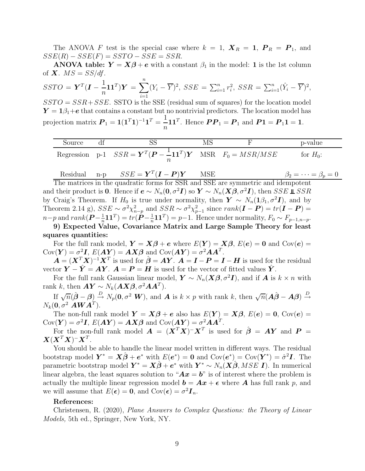The ANOVA F test is the special case where  $k = 1$ ,  $\mathbf{X}_R = \mathbf{1}$ ,  $\mathbf{P}_R = \mathbf{P}_1$ , and  $SSE(R) - SSE(F) = SSTO - SSE = SSR.$ 

**ANOVA table:**  $Y = X\beta + e$  with a constant  $\beta_1$  in the model: 1 is the 1st column of  $X$ .  $MS = SS/df$ .

$$
SSTO = \boldsymbol{Y}^T(\boldsymbol{I} - \frac{1}{n}\boldsymbol{1}\boldsymbol{1}^T)\boldsymbol{Y} = \sum_{i=1}^n (Y_i - \overline{Y})^2, \, SSE = \sum_{i=1}^n r_i^2, \, SSR = \sum_{i=1}^n (\hat{Y}_i - \overline{Y})^2,
$$

 $SSTO = SSR + SSE$ . SSTO is the SSE (residual sum of squares) for the location model  $Y = 1\beta_1 + e$  that contains a constant but no nontrivial predictors. The location model has projection matrix  $P_1 = 1(1^T1)^{-1}1^T = \frac{1}{n}$  $\overline{n}$ 11<sup>T</sup>. Hence  $PP_1 = P_1$  and  $P_1 = P_1 1 = 1$ .

| Source |                                                                                                                      |  | p-value     |
|--------|----------------------------------------------------------------------------------------------------------------------|--|-------------|
|        | Regression p-1 $SSR = \boldsymbol{Y}^T(\boldsymbol{P} - \boldsymbol{\dot{-}11}^T)\boldsymbol{Y}$ MSR $F_0 = MSR/MSE$ |  | for $H_0$ : |

Residual n-p 
$$
SSE = \mathbf{Y}^T (\mathbf{I} - \mathbf{P}) \mathbf{Y}
$$
 MSE  $\beta_2 = \cdots = \beta_p = 0$ 

The matrices in the quadratic forms for SSR and SSE are symmetric and idempotent and their product is 0. Hence if  $e \sim N_n(0, \sigma^2 I)$  so  $Y \sim N_n(X\beta, \sigma^2 I)$ , then SSE  $\mathbb{L}$  SSR by Craig's Theorem. If  $H_0$  is true under normality, then  $\mathbf{Y} \sim N_n(1\beta_1, \sigma^2 \mathbf{I})$ , and by Theorem 2.14 g),  $SSE \sim \sigma^2 \chi_{n-p}^2$  and  $SSR \sim \sigma^2 \chi_{p-1}^2$  since  $rank(\mathbf{I} - \mathbf{P}) = tr(\mathbf{I} - \mathbf{P}) =$  $n-p$  and  $rank(\boldsymbol{P}-\frac{1}{n})$  $\frac{1}{n} \boldsymbol{1} \boldsymbol{1}^T) = tr(\boldsymbol{P} \hspace{-0.05cm} - \hspace{-0.05cm} \frac{1}{n}$  $\frac{1}{n}$ **11**<sup>T</sup> $) = p-1$ . Hence under normality,  $F_0 \sim F_{p-1,n-p}$ .

9) Expected Value, Covariance Matrix and Large Sample Theory for least squares quantities:

For the full rank model,  $Y = X\beta + e$  where  $E(Y) = X\beta$ ,  $E(e) = 0$  and  $Cov(e) = 0$  $Cov(\boldsymbol{Y}) = \sigma^2 \boldsymbol{I}, E(\boldsymbol{A}\boldsymbol{Y}) = \boldsymbol{A}\boldsymbol{X}\boldsymbol{\beta}$  and  $Cov(\boldsymbol{A}\boldsymbol{Y}) = \sigma^2 \boldsymbol{A}\boldsymbol{A}^T$ .

 $\hat{\mathbf{A}} = (\mathbf{X}^T \mathbf{X})^{-1} \mathbf{X}^T$  is used for  $\hat{\boldsymbol{\beta}} = \mathbf{A} \mathbf{Y}$ .  $\mathbf{A} = \mathbf{I} - \mathbf{P} = \mathbf{I} - \mathbf{H}$  is used for the residual vector  $\mathbf{Y} - \hat{\mathbf{Y}} = \mathbf{A}\mathbf{Y}$ .  $\mathbf{A} = \mathbf{P} = \mathbf{H}$  is used for the vector of fitted values  $\hat{\mathbf{Y}}$ .

For the full rank Gaussian linear model,  $\mathbf{Y} \sim N_n(\mathbf{X}\boldsymbol{\beta}, \sigma^2 \mathbf{I})$ , and if  $\mathbf{A}$  is  $k \times n$  with rank k, then  $AY \sim N_k(AX\beta, \sigma^2 AA^T)$ .

If  $\sqrt{n}(\hat{\boldsymbol{\beta}} - \boldsymbol{\beta}) \stackrel{D}{\rightarrow} N_p(\mathbf{0}, \sigma^2 \ \mathbf{W})$ , and **A** is  $k \times p$  with rank k, then  $\sqrt{n}(\mathbf{A}\hat{\boldsymbol{\beta}} - \mathbf{A}\boldsymbol{\beta}) \stackrel{D}{\rightarrow}$  $N_k(\bm{0}, \sigma^2 \; \bm{A} \bm{W} \bm{A}^T).$ 

The non-full rank model  $\mathbf{Y} = \mathbf{X}\boldsymbol{\beta} + \boldsymbol{e}$  also has  $E(\mathbf{Y}) = \mathbf{X}\boldsymbol{\beta}, E(\boldsymbol{e}) = \mathbf{0}, \text{Cov}(\boldsymbol{e}) = \mathbf{0}$  $Cov(\boldsymbol{Y}) = \sigma^2 \boldsymbol{I}, E(\boldsymbol{A}\boldsymbol{Y}) = \boldsymbol{A}\boldsymbol{X}\boldsymbol{\beta}$  and  $Cov(\boldsymbol{A}\boldsymbol{Y}) = \sigma^2 \boldsymbol{A}\boldsymbol{A}^T$ .

For the non-full rank model  $\mathbf{A} = (\mathbf{X}^T \mathbf{X})^T \mathbf{X}^T$  is used for  $\hat{\boldsymbol{\beta}} = \mathbf{A} \mathbf{Y}$  and  $\mathbf{P} =$  $\boldsymbol{X} (\boldsymbol{X}^T\boldsymbol{X})^{\top} \boldsymbol{X}^T.$ 

You should be able to handle the linear model written in different ways. The residual bootstrap model  $Y^* = X\hat{\beta} + e^*$  with  $E(e^*) = 0$  and  $Cov(e^*) = Cov(Y^*) = \hat{\sigma}^2 I$ . The parametric bootstrap model  $\bm{Y}^* = \bm{X}\hat{\bm{\beta}} + \bm{e}^*$  with  $\bm{Y}^* \sim N_n(\bm{X}\hat{\bm{\beta}},MSE|\bm{I})$ . In numerical linear algebra, the least squares solution to " $Ax = b$ " is of interest where the problem is actually the multiple linear regression model  $\mathbf{b} = \mathbf{A}\mathbf{x} + \boldsymbol{\epsilon}$  where  $\mathbf{A}$  has full rank p, and we will assume that  $E(\epsilon) = 0$ , and  $Cov(\epsilon) = \sigma^2 I_n$ .

#### References:

Christensen, R. (2020), Plane Answers to Complex Questions: the Theory of Linear Models, 5th ed., Springer, New York, NY.